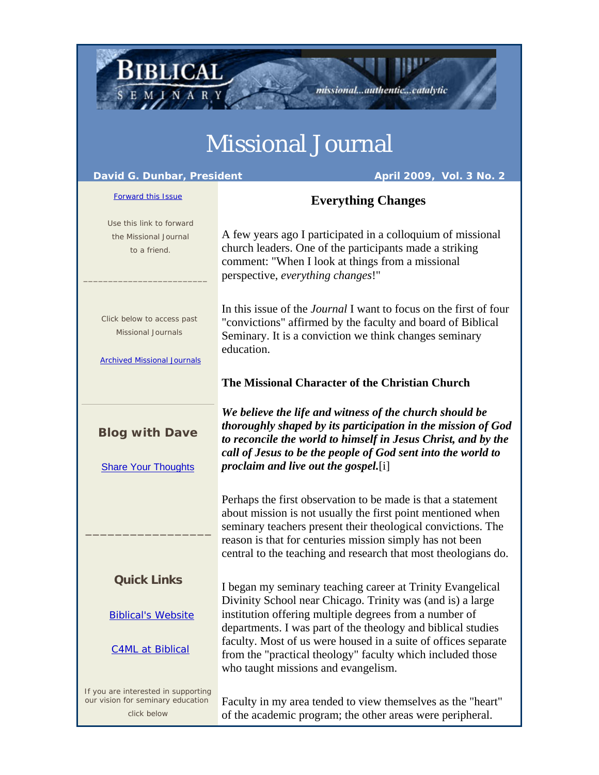## Missional Journal

missional...authentic...catalytic

BIBLICAL

EMINARY

| David G. Dunbar, President<br>April 2009, Vol. 3 No. 2                                        |                                                                                                                                                                                                                                                                                                                                                             |
|-----------------------------------------------------------------------------------------------|-------------------------------------------------------------------------------------------------------------------------------------------------------------------------------------------------------------------------------------------------------------------------------------------------------------------------------------------------------------|
| <b>Forward this Issue</b>                                                                     | <b>Everything Changes</b>                                                                                                                                                                                                                                                                                                                                   |
| Use this link to forward<br>the Missional Journal<br>to a friend.                             | A few years ago I participated in a colloquium of missional<br>church leaders. One of the participants made a striking<br>comment: "When I look at things from a missional<br>perspective, everything changes!"                                                                                                                                             |
| Click below to access past<br><b>Missional Journals</b><br><b>Archived Missional Journals</b> | In this issue of the <i>Journal</i> I want to focus on the first of four<br>"convictions" affirmed by the faculty and board of Biblical<br>Seminary. It is a conviction we think changes seminary<br>education.                                                                                                                                             |
|                                                                                               | The Missional Character of the Christian Church                                                                                                                                                                                                                                                                                                             |
| <b>Blog with Dave</b><br><b>Share Your Thoughts</b>                                           | We believe the life and witness of the church should be<br>thoroughly shaped by its participation in the mission of God<br>to reconcile the world to himself in Jesus Christ, and by the<br>call of Jesus to be the people of God sent into the world to<br><i>proclaim and live out the gospel.</i> [i]                                                    |
|                                                                                               | Perhaps the first observation to be made is that a statement<br>about mission is not usually the first point mentioned when<br>seminary teachers present their theological convictions. The<br>reason is that for centuries mission simply has not been<br>central to the teaching and research that most theologians do.                                   |
| <b>Quick Links</b>                                                                            | I began my seminary teaching career at Trinity Evangelical                                                                                                                                                                                                                                                                                                  |
| <b>Biblical's Website</b><br><b>C4ML at Biblical</b>                                          | Divinity School near Chicago. Trinity was (and is) a large<br>institution offering multiple degrees from a number of<br>departments. I was part of the theology and biblical studies<br>faculty. Most of us were housed in a suite of offices separate<br>from the "practical theology" faculty which included those<br>who taught missions and evangelism. |
| If you are interested in supporting<br>our vision for seminary education                      | Faculty in my area tended to view themselves as the "heart"                                                                                                                                                                                                                                                                                                 |

click below

Faculty in my area tended to view themselves as the "heart" of the academic program; the other areas were peripheral.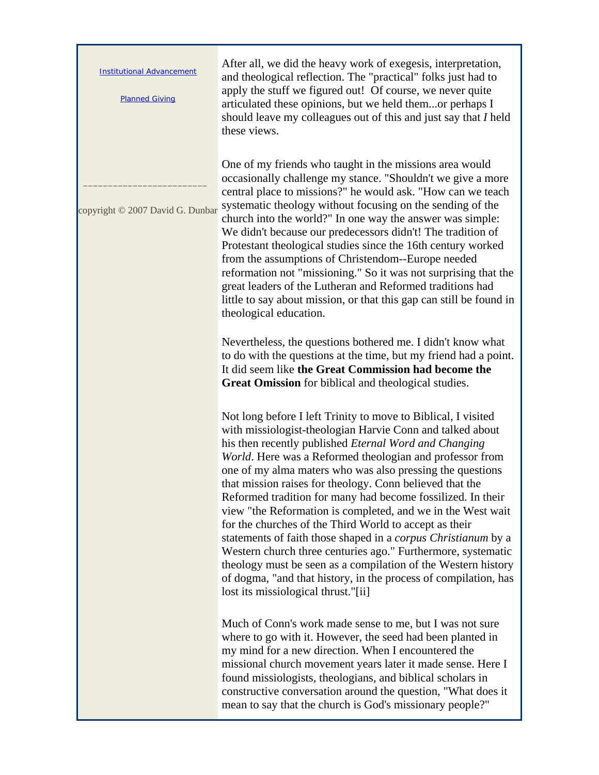| <b>Institutional Advancement</b><br><b>Planned Giving</b> | After all, we did the heavy work of exegesis, interpretation,<br>and theological reflection. The "practical" folks just had to<br>apply the stuff we figured out! Of course, we never quite<br>articulated these opinions, but we held themor perhaps I<br>should leave my colleagues out of this and just say that I held<br>these views.                                                                                                                                                                                                                                                                                                                                                                                                                                                                                                                                                 |
|-----------------------------------------------------------|--------------------------------------------------------------------------------------------------------------------------------------------------------------------------------------------------------------------------------------------------------------------------------------------------------------------------------------------------------------------------------------------------------------------------------------------------------------------------------------------------------------------------------------------------------------------------------------------------------------------------------------------------------------------------------------------------------------------------------------------------------------------------------------------------------------------------------------------------------------------------------------------|
| copyright © 2007 David G. Dunbar                          | One of my friends who taught in the missions area would<br>occasionally challenge my stance. "Shouldn't we give a more<br>central place to missions?" he would ask. "How can we teach<br>systematic theology without focusing on the sending of the<br>church into the world?" In one way the answer was simple:<br>We didn't because our predecessors didn't! The tradition of<br>Protestant theological studies since the 16th century worked<br>from the assumptions of Christendom--Europe needed<br>reformation not "missioning." So it was not surprising that the<br>great leaders of the Lutheran and Reformed traditions had<br>little to say about mission, or that this gap can still be found in<br>theological education.                                                                                                                                                     |
|                                                           | Nevertheless, the questions bothered me. I didn't know what<br>to do with the questions at the time, but my friend had a point.<br>It did seem like the Great Commission had become the<br>Great Omission for biblical and theological studies.                                                                                                                                                                                                                                                                                                                                                                                                                                                                                                                                                                                                                                            |
|                                                           | Not long before I left Trinity to move to Biblical, I visited<br>with missiologist-theologian Harvie Conn and talked about<br>his then recently published <i>Eternal Word and Changing</i><br>World. Here was a Reformed theologian and professor from<br>one of my alma maters who was also pressing the questions<br>that mission raises for theology. Conn believed that the<br>Reformed tradition for many had become fossilized. In their<br>view "the Reformation is completed, and we in the West wait<br>for the churches of the Third World to accept as their<br>statements of faith those shaped in a <i>corpus Christianum</i> by a<br>Western church three centuries ago." Furthermore, systematic<br>theology must be seen as a compilation of the Western history<br>of dogma, "and that history, in the process of compilation, has<br>lost its missiological thrust."[ii] |
|                                                           | Much of Conn's work made sense to me, but I was not sure<br>where to go with it. However, the seed had been planted in<br>my mind for a new direction. When I encountered the<br>missional church movement years later it made sense. Here I<br>found missiologists, theologians, and biblical scholars in<br>constructive conversation around the question, "What does it<br>mean to say that the church is God's missionary people?"                                                                                                                                                                                                                                                                                                                                                                                                                                                     |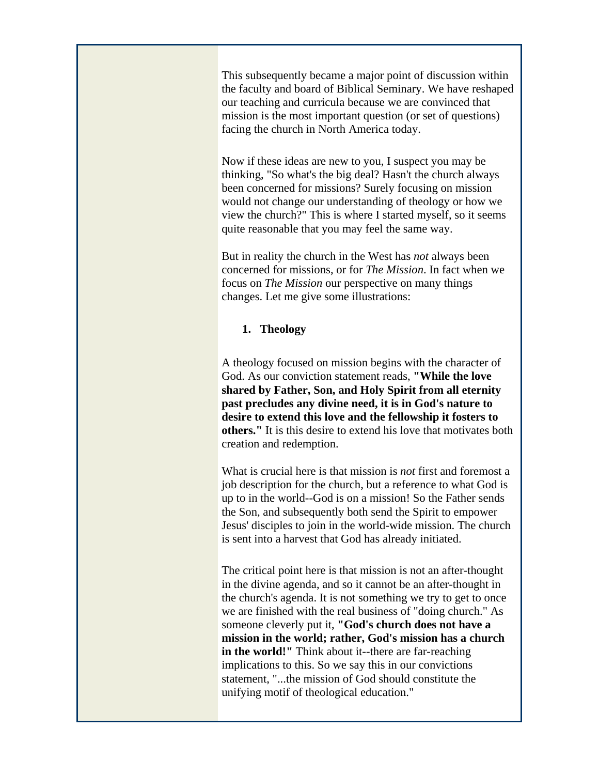This subsequently became a major point of discussion within the faculty and board of Biblical Seminary. We have reshaped our teaching and curricula because we are convinced that mission is the most important question (or set of questions) facing the church in North America today.

Now if these ideas are new to you, I suspect you may be thinking, "So what's the big deal? Hasn't the church always been concerned for missions? Surely focusing on mission would not change our understanding of theology or how we view the church?" This is where I started myself, so it seems quite reasonable that you may feel the same way.

But in reality the church in the West has *not* always been concerned for missions, or for *The Mission*. In fact when we focus on *The Mission* our perspective on many things changes. Let me give some illustrations:

## **1. Theology**

A theology focused on mission begins with the character of God. As our conviction statement reads, **"While the love shared by Father, Son, and Holy Spirit from all eternity past precludes any divine need, it is in God's nature to desire to extend this love and the fellowship it fosters to others."** It is this desire to extend his love that motivates both creation and redemption.

What is crucial here is that mission is *not* first and foremost a job description for the church, but a reference to what God is up to in the world--God is on a mission! So the Father sends the Son, and subsequently both send the Spirit to empower Jesus' disciples to join in the world-wide mission. The church is sent into a harvest that God has already initiated.

The critical point here is that mission is not an after-thought in the divine agenda, and so it cannot be an after-thought in the church's agenda. It is not something we try to get to once we are finished with the real business of "doing church." As someone cleverly put it, **"God's church does not have a mission in the world; rather, God's mission has a church in the world!"** Think about it--there are far-reaching implications to this. So we say this in our convictions statement, "...the mission of God should constitute the unifying motif of theological education."